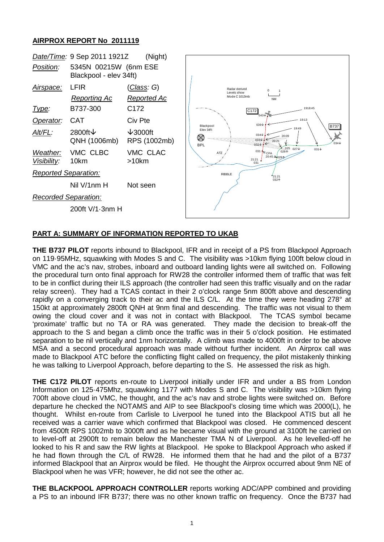## **AIRPROX REPORT No 2011119**



## **PART A: SUMMARY OF INFORMATION REPORTED TO UKAB**

**THE B737 PILOT** reports inbound to Blackpool, IFR and in receipt of a PS from Blackpool Approach on 119·95MHz, squawking with Modes S and C. The visibility was >10km flying 100ft below cloud in VMC and the ac's nav, strobes, inboard and outboard landing lights were all switched on. Following the procedural turn onto final approach for RW28 the controller informed them of traffic that was felt to be in conflict during their ILS approach (the controller had seen this traffic visually and on the radar relay screen). They had a TCAS contact in their 2 o'clock range 5nm 800ft above and descending rapidly on a converging track to their ac and the ILS C/L. At the time they were heading 278° at 150kt at approximately 2800ft QNH at 9nm final and descending. The traffic was not visual to them owing the cloud cover and it was not in contact with Blackpool. The TCAS symbol became 'proximate' traffic but no TA or RA was generated. They made the decision to break-off the approach to the S and began a climb once the traffic was in their 5 o'clock position. He estimated separation to be nil vertically and 1nm horizontally. A climb was made to 4000ft in order to be above MSA and a second procedural approach was made without further incident. An Airprox call was made to Blackpool ATC before the conflicting flight called on frequency, the pilot mistakenly thinking he was talking to Liverpool Approach, before departing to the S. He assessed the risk as high.

**THE C172 PILOT** reports en-route to Liverpool initially under IFR and under a BS from London Information on 125·475Mhz, squawking 1177 with Modes S and C. The visibility was >10km flying 700ft above cloud in VMC, he thought, and the ac's nav and strobe lights were switched on. Before departure he checked the NOTAMS and AIP to see Blackpool's closing time which was 2000(L), he thought. Whilst en-route from Carlisle to Liverpool he tuned into the Blackpool ATIS but all he received was a carrier wave which confirmed that Blackpool was closed. He commenced descent from 4500ft RPS 1002mb to 3000ft and as he became visual with the ground at 3100ft he carried on to level-off at 2900ft to remain below the Manchester TMA N of Liverpool. As he levelled-off he looked to his R and saw the RW lights at Blackpool. He spoke to Blackpool Approach who asked if he had flown through the C/L of RW28. He informed them that he had and the pilot of a B737 informed Blackpool that an Airprox would be filed. He thought the Airprox occurred about 9nm NE of Blackpool when he was VFR; however, he did not see the other ac.

**THE BLACKPOOL APPROACH CONTROLLER** reports working ADC/APP combined and providing a PS to an inbound IFR B737; there was no other known traffic on frequency. Once the B737 had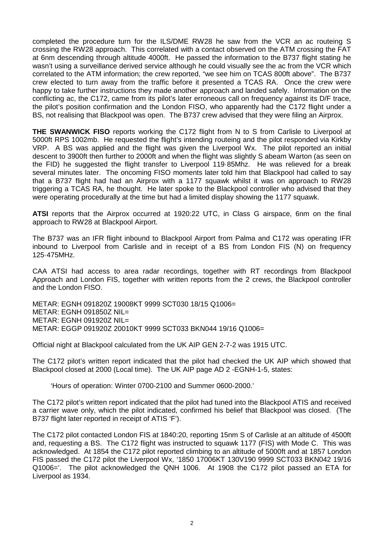completed the procedure turn for the ILS/DME RW28 he saw from the VCR an ac routeing S crossing the RW28 approach. This correlated with a contact observed on the ATM crossing the FAT at 6nm descending through altitude 4000ft. He passed the information to the B737 flight stating he wasn't using a surveillance derived service although he could visually see the ac from the VCR which correlated to the ATM information; the crew reported, "we see him on TCAS 800ft above". The B737 crew elected to turn away from the traffic before it presented a TCAS RA. Once the crew were happy to take further instructions they made another approach and landed safely. Information on the conflicting ac, the C172, came from its pilot's later erroneous call on frequency against its D/F trace, the pilot's position confirmation and the London FISO, who apparently had the C172 flight under a BS, not realising that Blackpool was open. The B737 crew advised that they were filing an Airprox.

**THE SWANWICK FISO** reports working the C172 flight from N to S from Carlisle to Liverpool at 5000ft RPS 1002mb. He requested the flight's intending routeing and the pilot responded via Kirkby VRP. A BS was applied and the flight was given the Liverpool Wx. The pilot reported an initial descent to 3900ft then further to 2000ft and when the flight was slightly S abeam Warton (as seen on the FID) he suggested the flight transfer to Liverpool 119·85Mhz. He was relieved for a break several minutes later. The oncoming FISO moments later told him that Blackpool had called to say that a B737 flight had had an Airprox with a 1177 squawk whilst it was on approach to RW28 triggering a TCAS RA, he thought. He later spoke to the Blackpool controller who advised that they were operating procedurally at the time but had a limited display showing the 1177 squawk.

**ATSI** reports that the Airprox occurred at 1920:22 UTC, in Class G airspace, 6nm on the final approach to RW28 at Blackpool Airport.

The B737 was an IFR flight inbound to Blackpool Airport from Palma and C172 was operating IFR inbound to Liverpool from Carlisle and in receipt of a BS from London FIS (N) on frequency 125·475MHz.

CAA ATSI had access to area radar recordings, together with RT recordings from Blackpool Approach and London FIS, together with written reports from the 2 crews, the Blackpool controller and the London FISO.

METAR: EGNH 091820Z 19008KT 9999 SCT030 18/15 Q1006= METAR: EGNH 091850Z NIL= METAR: EGNH 091920Z NIL= METAR: EGGP 091920Z 20010KT 9999 SCT033 BKN044 19/16 Q1006=

Official night at Blackpool calculated from the UK AIP GEN 2-7-2 was 1915 UTC.

The C172 pilot's written report indicated that the pilot had checked the UK AIP which showed that Blackpool closed at 2000 (Local time). The UK AIP page AD 2 -EGNH-1-5, states:

'Hours of operation: Winter 0700-2100 and Summer 0600-2000.'

The C172 pilot's written report indicated that the pilot had tuned into the Blackpool ATIS and received a carrier wave only, which the pilot indicated, confirmed his belief that Blackpool was closed. (The B737 flight later reported in receipt of ATIS 'F').

The C172 pilot contacted London FIS at 1840:20, reporting 15nm S of Carlisle at an altitude of 4500ft and, requesting a BS. The C172 flight was instructed to squawk 1177 (FIS) with Mode C. This was acknowledged. At 1854 the C172 pilot reported climbing to an altitude of 5000ft and at 1857 London FIS passed the C172 pilot the Liverpool Wx, '1850 17006KT 130V190 9999 SCT033 BKN042 19/16 Q1006='. The pilot acknowledged the QNH 1006. At 1908 the C172 pilot passed an ETA for Liverpool as 1934.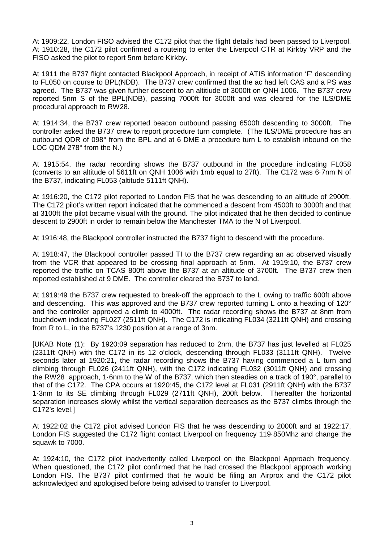At 1909:22, London FISO advised the C172 pilot that the flight details had been passed to Liverpool. At 1910:28, the C172 pilot confirmed a routeing to enter the Liverpool CTR at Kirkby VRP and the FISO asked the pilot to report 5nm before Kirkby.

At 1911 the B737 flight contacted Blackpool Approach, in receipt of ATIS information 'F' descending to FL050 on course to BPL(NDB). The B737 crew confirmed that the ac had left CAS and a PS was agreed. The B737 was given further descent to an altitiude of 3000ft on QNH 1006. The B737 crew reported 5nm S of the BPL(NDB), passing 7000ft for 3000ft and was cleared for the ILS/DME procedural approach to RW28.

At 1914:34, the B737 crew reported beacon outbound passing 6500ft descending to 3000ft. The controller asked the B737 crew to report procedure turn complete. (The ILS/DME procedure has an outbound QDR of 098° from the BPL and at 6 DME a procedure turn L to establish inbound on the LOC QDM 278° from the N.)

At 1915:54, the radar recording shows the B737 outbound in the procedure indicating FL058 (converts to an altitude of 5611ft on QNH 1006 with 1mb equal to 27ft). The C172 was 6·7nm N of the B737, indicating FL053 (altitude 5111ft QNH).

At 1916:20, the C172 pilot reported to London FIS that he was descending to an altitude of 2900ft. The C172 pilot's written report indicated that he commenced a descent from 4500ft to 3000ft and that at 3100ft the pilot became visual with the ground. The pilot indicated that he then decided to continue descent to 2900ft in order to remain below the Manchester TMA to the N of Liverpool.

At 1916:48, the Blackpool controller instructed the B737 flight to descend with the procedure.

At 1918:47, the Blackpool controller passed TI to the B737 crew regarding an ac observed visually from the VCR that appeared to be crossing final approach at 5nm. At 1919:10, the B737 crew reported the traffic on TCAS 800ft above the B737 at an altitude of 3700ft. The B737 crew then reported established at 9 DME. The controller cleared the B737 to land.

At 1919:49 the B737 crew requested to break-off the approach to the L owing to traffic 600ft above and descending. This was approved and the B737 crew reported turning L onto a heading of 120° and the controller approved a climb to 4000ft. The radar recording shows the B737 at 8nm from touchdown indicating FL027 (2511ft QNH). The C172 is indicating FL034 (3211ft QNH) and crossing from R to L, in the B737's 1230 position at a range of 3nm.

[UKAB Note (1): By 1920:09 separation has reduced to 2nm, the B737 has just levelled at FL025 (2311ft QNH) with the C172 in its 12 o'clock, descending through FL033 (3111ft QNH). Twelve seconds later at 1920:21, the radar recording shows the B737 having commenced a L turn and climbing through FL026 (2411ft QNH), with the C172 indicating FL032 (3011ft QNH) and crossing the RW28 approach, 1·6nm to the W of the B737, which then steadies on a track of 190°, parallel to that of the C172. The CPA occurs at 1920:45, the C172 level at FL031 (2911ft QNH) with the B737 1·3nm to its SE climbing through FL029 (2711ft QNH), 200ft below. Thereafter the horizontal separation increases slowly whilst the vertical separation decreases as the B737 climbs through the C172's level.]

At 1922:02 the C172 pilot advised London FIS that he was descending to 2000ft and at 1922:17, London FIS suggested the C172 flight contact Liverpool on frequency 119·850Mhz and change the squawk to 7000.

At 1924:10, the C172 pilot inadvertently called Liverpool on the Blackpool Approach frequency. When questioned, the C172 pilot confirmed that he had crossed the Blackpool approach working London FIS. The B737 pilot confirmed that he would be filing an Airprox and the C172 pilot acknowledged and apologised before being advised to transfer to Liverpool.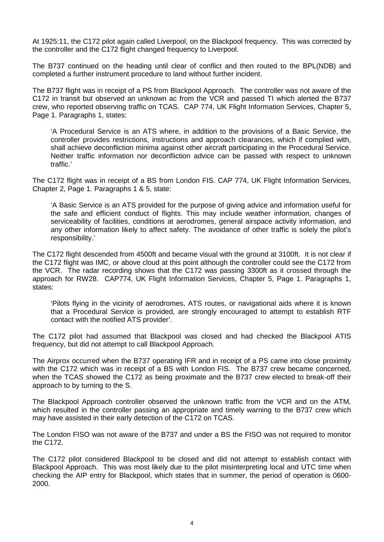At 1925:11, the C172 pilot again called Liverpool, on the Blackpool frequency. This was corrected by the controller and the C172 flight changed frequency to Liverpool.

The B737 continued on the heading until clear of conflict and then routed to the BPL(NDB) and completed a further instrument procedure to land without further incident.

The B737 flight was in receipt of a PS from Blackpool Approach. The controller was not aware of the C172 in transit but observed an unknown ac from the VCR and passed TI which alerted the B737 crew, who reported observing traffic on TCAS. CAP 774, UK Flight Information Services, Chapter 5, Page 1. Paragraphs 1, states:

'A Procedural Service is an ATS where, in addition to the provisions of a Basic Service, the controller provides restrictions, instructions and approach clearances, which if complied with, shall achieve deconfliction minima against other aircraft participating in the Procedural Service. Neither traffic information nor deconfliction advice can be passed with respect to unknown traffic.'

The C172 flight was in receipt of a BS from London FIS. CAP 774, UK Flight Information Services, Chapter 2, Page 1. Paragraphs 1 & 5, state:

'A Basic Service is an ATS provided for the purpose of giving advice and information useful for the safe and efficient conduct of flights. This may include weather information, changes of serviceability of facilities, conditions at aerodromes, general airspace activity information, and any other information likely to affect safety. The avoidance of other traffic is solely the pilot's responsibility.'

The C172 flight descended from 4500ft and became visual with the ground at 3100ft. It is not clear if the C172 flight was IMC, or above cloud at this point although the controller could see the C172 from the VCR. The radar recording shows that the C172 was passing 3300ft as it crossed through the approach for RW28. CAP774, UK Flight Information Services, Chapter 5, Page 1. Paragraphs 1, states:

'Pilots flying in the vicinity of aerodromes, ATS routes, or navigational aids where it is known that a Procedural Service is provided, are strongly encouraged to attempt to establish RTF contact with the notified ATS provider'.

The C172 pilot had assumed that Blackpool was closed and had checked the Blackpool ATIS frequency, but did not attempt to call Blackpool Approach.

The Airprox occurred when the B737 operating IFR and in receipt of a PS came into close proximity with the C172 which was in receipt of a BS with London FIS. The B737 crew became concerned, when the TCAS showed the C172 as being proximate and the B737 crew elected to break-off their approach to by turning to the S.

The Blackpool Approach controller observed the unknown traffic from the VCR and on the ATM, which resulted in the controller passing an appropriate and timely warning to the B737 crew which may have assisted in their early detection of the C172 on TCAS.

The London FISO was not aware of the B737 and under a BS the FISO was not required to monitor the C172.

The C172 pilot considered Blackpool to be closed and did not attempt to establish contact with Blackpool Approach. This was most likely due to the pilot misinterpreting local and UTC time when checking the AIP entry for Blackpool, which states that in summer, the period of operation is 0600- 2000.